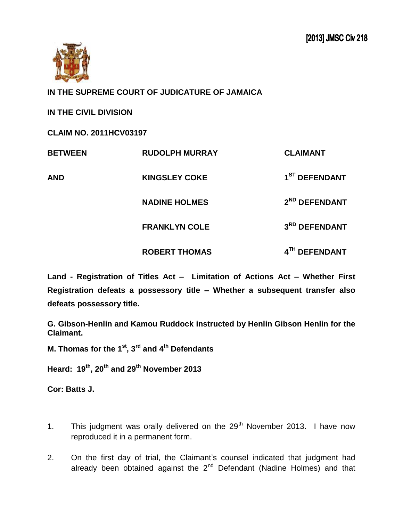

**IN THE SUPREME COURT OF JUDICATURE OF JAMAICA**

**IN THE CIVIL DIVISION** 

**CLAIM NO. 2011HCV03197**

| <b>BETWEEN</b> | <b>RUDOLPH MURRAY</b> | <b>CLAIMANT</b>           |
|----------------|-----------------------|---------------------------|
| AND            | <b>KINGSLEY COKE</b>  | 1 <sup>ST</sup> DEFENDANT |
|                | <b>NADINE HOLMES</b>  | 2 <sup>ND</sup> DEFENDANT |
|                | <b>FRANKLYN COLE</b>  | 3RD DEFENDANT             |
|                | <b>ROBERT THOMAS</b>  | 4TH DEFENDANT             |

**Land - Registration of Titles Act – Limitation of Actions Act – Whether First Registration defeats a possessory title – Whether a subsequent transfer also defeats possessory title.** 

**G. Gibson-Henlin and Kamou Ruddock instructed by Henlin Gibson Henlin for the Claimant.**

**M. Thomas for the 1 st , 3 rd and 4th Defendants** 

**Heard: 19th, 20th and 29th November 2013**

**Cor: Batts J.**

- 1. This judgment was orally delivered on the  $29<sup>th</sup>$  November 2013. I have now reproduced it in a permanent form.
- 2. On the first day of trial, the Claimant's counsel indicated that judgment had already been obtained against the  $2<sup>nd</sup>$  Defendant (Nadine Holmes) and that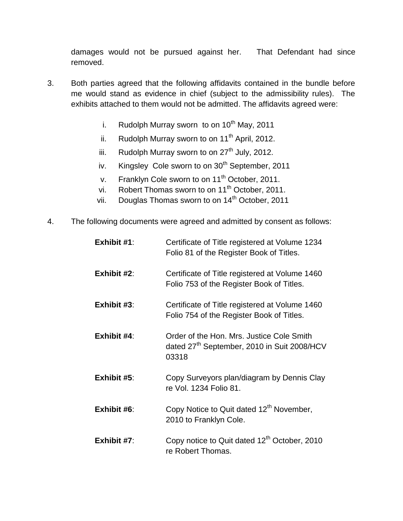damages would not be pursued against her. That Defendant had since removed.

- 3. Both parties agreed that the following affidavits contained in the bundle before me would stand as evidence in chief (subject to the admissibility rules). The exhibits attached to them would not be admitted. The affidavits agreed were:
	- i. Rudolph Murray sworn to on  $10^{th}$  May, 2011
	- ii. Rudolph Murray sworn to on  $11<sup>th</sup>$  April, 2012.
	- iii. Rudolph Murray sworn to on  $27<sup>th</sup>$  July, 2012.
	- iv. Kingsley Cole sworn to on 30<sup>th</sup> September, 2011
	- v. Franklyn Cole sworn to on 11<sup>th</sup> October, 2011.
	- vi. Robert Thomas sworn to on 11<sup>th</sup> October, 2011.
	- vii. Douglas Thomas sworn to on 14<sup>th</sup> October, 2011
- 4. The following documents were agreed and admitted by consent as follows:

| Exhibit $#1$ : | Certificate of Title registered at Volume 1234<br>Folio 81 of the Register Book of Titles.                    |
|----------------|---------------------------------------------------------------------------------------------------------------|
| Exhibit $#2$ : | Certificate of Title registered at Volume 1460<br>Folio 753 of the Register Book of Titles.                   |
| Exhibit #3:    | Certificate of Title registered at Volume 1460<br>Folio 754 of the Register Book of Titles.                   |
| Exhibit $#4$ : | Order of the Hon. Mrs. Justice Cole Smith<br>dated 27 <sup>th</sup> September, 2010 in Suit 2008/HCV<br>03318 |
| Exhibit $#5$ : | Copy Surveyors plan/diagram by Dennis Clay<br>re Vol. 1234 Folio 81.                                          |
| Exhibit #6:    | Copy Notice to Quit dated 12 <sup>th</sup> November,<br>2010 to Franklyn Cole.                                |
| Exhibit $#7$ : | Copy notice to Quit dated 12 <sup>th</sup> October, 2010<br>re Robert Thomas.                                 |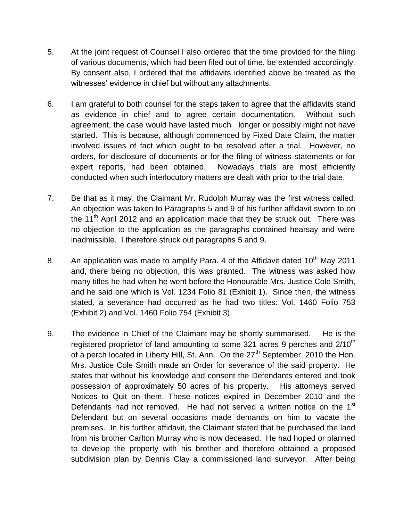- 5. At the joint request of Counsel I also ordered that the time provided for the filing of various documents, which had been filed out of time, be extended accordingly. By consent also, I ordered that the affidavits identified above be treated as the witnesses' evidence in chief but without any attachments.
- 6. I am grateful to both counsel for the steps taken to agree that the affidavits stand as evidence in chief and to agree certain documentation. Without such agreement, the case would have lasted much longer or possibly might not have started. This is because, although commenced by Fixed Date Claim, the matter involved issues of fact which ought to be resolved after a trial. However, no orders, for disclosure of documents or for the filing of witness statements or for expert reports, had been obtained. Nowadays trials are most efficiently conducted when such interlocutory matters are dealt with prior to the trial date.
- 7. Be that as it may, the Claimant Mr. Rudolph Murray was the first witness called. An objection was taken to Paragraphs 5 and 9 of his further affidavit sworn to on the 11<sup>th</sup> April 2012 and an application made that they be struck out. There was no objection to the application as the paragraphs contained hearsay and were inadmissible. I therefore struck out paragraphs 5 and 9.
- 8. An application was made to amplify Para. 4 of the Affidavit dated  $10<sup>th</sup>$  May 2011 and, there being no objection, this was granted. The witness was asked how many titles he had when he went before the Honourable Mrs. Justice Cole Smith, and he said one which is Vol. 1234 Folio 81 (Exhibit 1). Since then, the witness stated, a severance had occurred as he had two titles: Vol. 1460 Folio 753 (Exhibit 2) and Vol. 1460 Folio 754 (Exhibit 3).
- 9. The evidence in Chief of the Claimant may be shortly summarised. He is the registered proprietor of land amounting to some 321 acres 9 perches and  $2/10<sup>th</sup>$ of a perch located in Liberty Hill, St. Ann. On the 27<sup>th</sup> September, 2010 the Hon. Mrs. Justice Cole Smith made an Order for severance of the said property. He states that without his knowledge and consent the Defendants entered and took possession of approximately 50 acres of his property. His attorneys served Notices to Quit on them. These notices expired in December 2010 and the Defendants had not removed. He had not served a written notice on the 1<sup>st</sup> Defendant but on several occasions made demands on him to vacate the premises. In his further affidavit, the Claimant stated that he purchased the land from his brother Carlton Murray who is now deceased. He had hoped or planned to develop the property with his brother and therefore obtained a proposed subdivision plan by Dennis Clay a commissioned land surveyor. After being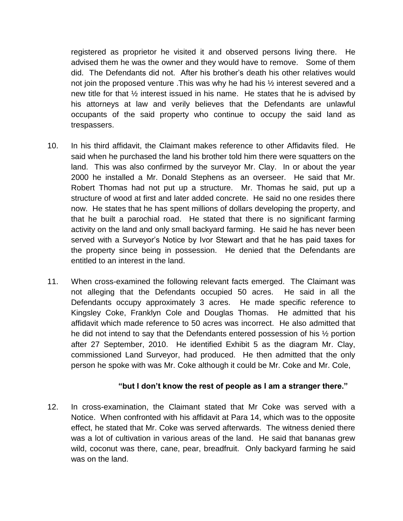registered as proprietor he visited it and observed persons living there. He advised them he was the owner and they would have to remove. Some of them did. The Defendants did not. After his brother's death his other relatives would not join the proposed venture .This was why he had his ½ interest severed and a new title for that ½ interest issued in his name. He states that he is advised by his attorneys at law and verily believes that the Defendants are unlawful occupants of the said property who continue to occupy the said land as trespassers.

- 10. In his third affidavit, the Claimant makes reference to other Affidavits filed. He said when he purchased the land his brother told him there were squatters on the land. This was also confirmed by the surveyor Mr. Clay. In or about the year 2000 he installed a Mr. Donald Stephens as an overseer. He said that Mr. Robert Thomas had not put up a structure. Mr. Thomas he said, put up a structure of wood at first and later added concrete. He said no one resides there now. He states that he has spent millions of dollars developing the property, and that he built a parochial road. He stated that there is no significant farming activity on the land and only small backyard farming. He said he has never been served with a Surveyor's Notice by Ivor Stewart and that he has paid taxes for the property since being in possession. He denied that the Defendants are entitled to an interest in the land.
- 11. When cross-examined the following relevant facts emerged. The Claimant was not alleging that the Defendants occupied 50 acres. He said in all the Defendants occupy approximately 3 acres. He made specific reference to Kingsley Coke, Franklyn Cole and Douglas Thomas. He admitted that his affidavit which made reference to 50 acres was incorrect. He also admitted that he did not intend to say that the Defendants entered possession of his ½ portion after 27 September, 2010. He identified Exhibit 5 as the diagram Mr. Clay, commissioned Land Surveyor, had produced. He then admitted that the only person he spoke with was Mr. Coke although it could be Mr. Coke and Mr. Cole,

## **"but I don't know the rest of people as I am a stranger there."**

12. In cross-examination, the Claimant stated that Mr Coke was served with a Notice. When confronted with his affidavit at Para 14, which was to the opposite effect, he stated that Mr. Coke was served afterwards. The witness denied there was a lot of cultivation in various areas of the land. He said that bananas grew wild, coconut was there, cane, pear, breadfruit. Only backyard farming he said was on the land.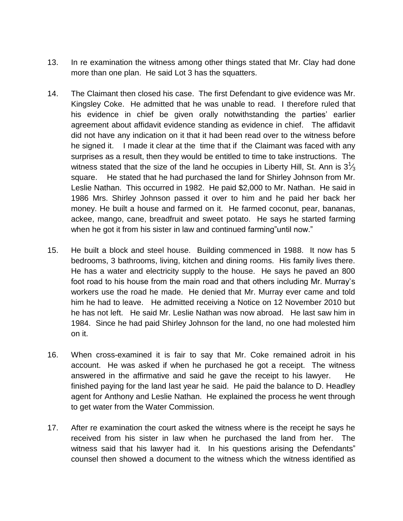- 13. In re examination the witness among other things stated that Mr. Clay had done more than one plan. He said Lot 3 has the squatters.
- 14. The Claimant then closed his case. The first Defendant to give evidence was Mr. Kingsley Coke. He admitted that he was unable to read. I therefore ruled that his evidence in chief be given orally notwithstanding the parties' earlier agreement about affidavit evidence standing as evidence in chief. The affidavit did not have any indication on it that it had been read over to the witness before he signed it. I made it clear at the time that if the Claimant was faced with any surprises as a result, then they would be entitled to time to take instructions. The witness stated that the size of the land he occupies in Liberty Hill, St. Ann is  $3\frac{1}{3}$ square. He stated that he had purchased the land for Shirley Johnson from Mr. Leslie Nathan. This occurred in 1982. He paid \$2,000 to Mr. Nathan. He said in 1986 Mrs. Shirley Johnson passed it over to him and he paid her back her money. He built a house and farmed on it. He farmed coconut, pear, bananas, ackee, mango, cane, breadfruit and sweet potato. He says he started farming when he got it from his sister in law and continued farming" until now."
- 15. He built a block and steel house. Building commenced in 1988. It now has 5 bedrooms, 3 bathrooms, living, kitchen and dining rooms. His family lives there. He has a water and electricity supply to the house. He says he paved an 800 foot road to his house from the main road and that others including Mr. Murray's workers use the road he made. He denied that Mr. Murray ever came and told him he had to leave. He admitted receiving a Notice on 12 November 2010 but he has not left. He said Mr. Leslie Nathan was now abroad. He last saw him in 1984. Since he had paid Shirley Johnson for the land, no one had molested him on it.
- 16. When cross-examined it is fair to say that Mr. Coke remained adroit in his account. He was asked if when he purchased he got a receipt. The witness answered in the affirmative and said he gave the receipt to his lawyer. He finished paying for the land last year he said. He paid the balance to D. Headley agent for Anthony and Leslie Nathan. He explained the process he went through to get water from the Water Commission.
- 17. After re examination the court asked the witness where is the receipt he says he received from his sister in law when he purchased the land from her. The witness said that his lawyer had it. In his questions arising the Defendants" counsel then showed a document to the witness which the witness identified as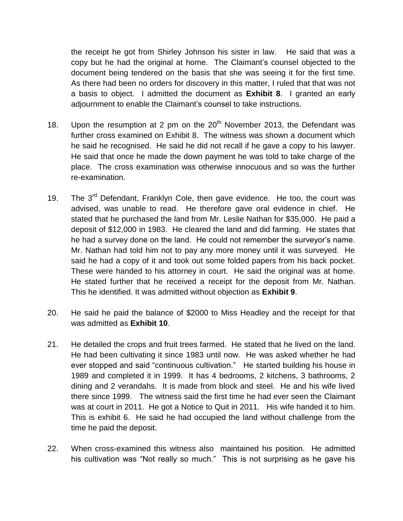the receipt he got from Shirley Johnson his sister in law. He said that was a copy but he had the original at home. The Claimant's counsel objected to the document being tendered on the basis that she was seeing it for the first time. As there had been no orders for discovery in this matter, I ruled that that was not a basis to object. I admitted the document as **Exhibit 8**. I granted an early adjournment to enable the Claimant's counsel to take instructions.

- 18. Upon the resumption at 2 pm on the  $20<sup>th</sup>$  November 2013, the Defendant was further cross examined on Exhibit 8. The witness was shown a document which he said he recognised. He said he did not recall if he gave a copy to his lawyer. He said that once he made the down payment he was told to take charge of the place. The cross examination was otherwise innocuous and so was the further re-examination.
- 19. The 3<sup>rd</sup> Defendant, Franklyn Cole, then gave evidence. He too, the court was advised, was unable to read. He therefore gave oral evidence in chief. He stated that he purchased the land from Mr. Leslie Nathan for \$35,000. He paid a deposit of \$12,000 in 1983. He cleared the land and did farming. He states that he had a survey done on the land. He could not remember the surveyor's name. Mr. Nathan had told him not to pay any more money until it was surveyed. He said he had a copy of it and took out some folded papers from his back pocket. These were handed to his attorney in court. He said the original was at home. He stated further that he received a receipt for the deposit from Mr. Nathan. This he identified. It was admitted without objection as **Exhibit 9**.
- 20. He said he paid the balance of \$2000 to Miss Headley and the receipt for that was admitted as **Exhibit 10**.
- 21. He detailed the crops and fruit trees farmed. He stated that he lived on the land. He had been cultivating it since 1983 until now. He was asked whether he had ever stopped and said "continuous cultivation." He started building his house in 1989 and completed it in 1999. It has 4 bedrooms, 2 kitchens, 3 bathrooms, 2 dining and 2 verandahs. It is made from block and steel. He and his wife lived there since 1999. The witness said the first time he had ever seen the Claimant was at court in 2011. He got a Notice to Quit in 2011. His wife handed it to him. This is exhibit 6. He said he had occupied the land without challenge from the time he paid the deposit.
- 22. When cross-examined this witness also maintained his position. He admitted his cultivation was "Not really so much." This is not surprising as he gave his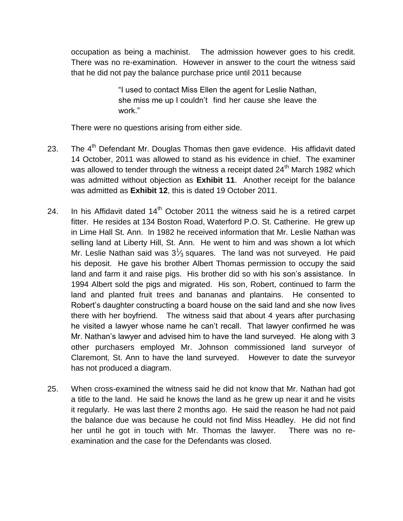occupation as being a machinist. The admission however goes to his credit. There was no re-examination. However in answer to the court the witness said that he did not pay the balance purchase price until 2011 because

> "I used to contact Miss Ellen the agent for Leslie Nathan, she miss me up I couldn't find her cause she leave the work."

There were no questions arising from either side.

- 23. The  $4<sup>th</sup>$  Defendant Mr. Douglas Thomas then gave evidence. His affidavit dated 14 October, 2011 was allowed to stand as his evidence in chief. The examiner was allowed to tender through the witness a receipt dated  $24<sup>th</sup>$  March 1982 which was admitted without objection as **Exhibit 11**. Another receipt for the balance was admitted as **Exhibit 12**, this is dated 19 October 2011.
- 24. In his Affidavit dated  $14<sup>th</sup>$  October 2011 the witness said he is a retired carpet fitter. He resides at 134 Boston Road, Waterford P.O. St. Catherine. He grew up in Lime Hall St. Ann. In 1982 he received information that Mr. Leslie Nathan was selling land at Liberty Hill, St. Ann. He went to him and was shown a lot which Mr. Leslie Nathan said was  $3\frac{1}{3}$  squares. The land was not surveyed. He paid his deposit. He gave his brother Albert Thomas permission to occupy the said land and farm it and raise pigs. His brother did so with his son's assistance. In 1994 Albert sold the pigs and migrated. His son, Robert, continued to farm the land and planted fruit trees and bananas and plantains. He consented to Robert's daughter constructing a board house on the said land and she now lives there with her boyfriend. The witness said that about 4 years after purchasing he visited a lawyer whose name he can't recall. That lawyer confirmed he was Mr. Nathan's lawyer and advised him to have the land surveyed. He along with 3 other purchasers employed Mr. Johnson commissioned land surveyor of Claremont, St. Ann to have the land surveyed. However to date the surveyor has not produced a diagram.
- 25. When cross-examined the witness said he did not know that Mr. Nathan had got a title to the land. He said he knows the land as he grew up near it and he visits it regularly. He was last there 2 months ago. He said the reason he had not paid the balance due was because he could not find Miss Headley. He did not find her until he got in touch with Mr. Thomas the lawyer. There was no reexamination and the case for the Defendants was closed.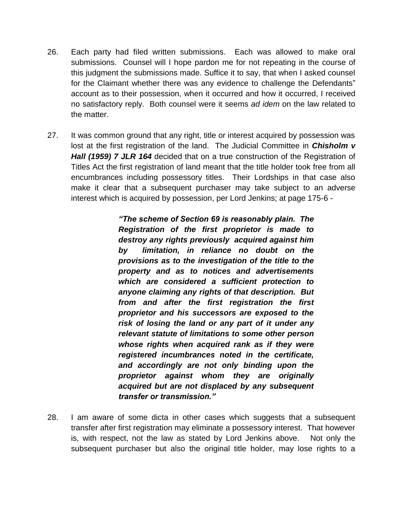- 26. Each party had filed written submissions. Each was allowed to make oral submissions. Counsel will I hope pardon me for not repeating in the course of this judgment the submissions made. Suffice it to say, that when I asked counsel for the Claimant whether there was any evidence to challenge the Defendants" account as to their possession, when it occurred and how it occurred, I received no satisfactory reply. Both counsel were it seems *ad idem* on the law related to the matter.
- 27. It was common ground that any right, title or interest acquired by possession was lost at the first registration of the land. The Judicial Committee in *Chisholm v Hall (1959) 7 JLR 164* decided that on a true construction of the Registration of Titles Act the first registration of land meant that the title holder took free from all encumbrances including possessory titles. Their Lordships in that case also make it clear that a subsequent purchaser may take subject to an adverse interest which is acquired by possession, per Lord Jenkins; at page 175-6 -

*"The scheme of Section 69 is reasonably plain. The Registration of the first proprietor is made to destroy any rights previously acquired against him by limitation, in reliance no doubt on the provisions as to the investigation of the title to the property and as to notices and advertisements which are considered a sufficient protection to anyone claiming any rights of that description. But from and after the first registration the first proprietor and his successors are exposed to the risk of losing the land or any part of it under any relevant statute of limitations to some other person whose rights when acquired rank as if they were registered incumbrances noted in the certificate, and accordingly are not only binding upon the proprietor against whom they are originally acquired but are not displaced by any subsequent transfer or transmission."*

28. I am aware of some dicta in other cases which suggests that a subsequent transfer after first registration may eliminate a possessory interest. That however is, with respect, not the law as stated by Lord Jenkins above. Not only the subsequent purchaser but also the original title holder, may lose rights to a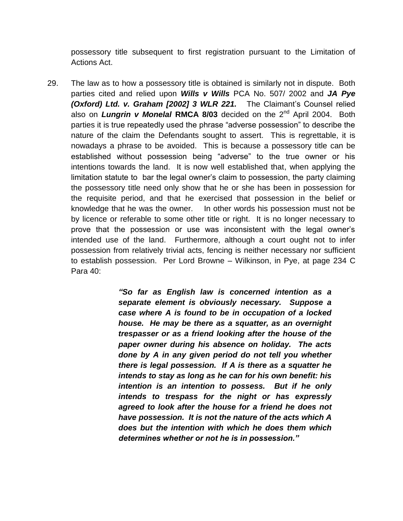possessory title subsequent to first registration pursuant to the Limitation of Actions Act.

29. The law as to how a possessory title is obtained is similarly not in dispute. Both parties cited and relied upon *Wills v Wills* PCA No. 507/ 2002 and *JA Pye (Oxford) Ltd. v. Graham [2002] 3 WLR 221.* The Claimant's Counsel relied also on *Lungrin v Monelal* RMCA 8/03 decided on the 2<sup>nd</sup> April 2004. Both parties it is true repeatedly used the phrase "adverse possession" to describe the nature of the claim the Defendants sought to assert. This is regrettable, it is nowadays a phrase to be avoided. This is because a possessory title can be established without possession being "adverse" to the true owner or his intentions towards the land. It is now well established that, when applying the limitation statute to bar the legal owner's claim to possession, the party claiming the possessory title need only show that he or she has been in possession for the requisite period, and that he exercised that possession in the belief or knowledge that he was the owner. In other words his possession must not be by licence or referable to some other title or right. It is no longer necessary to prove that the possession or use was inconsistent with the legal owner's intended use of the land. Furthermore, although a court ought not to infer possession from relatively trivial acts, fencing is neither necessary nor sufficient to establish possession. Per Lord Browne – Wilkinson, in Pye, at page 234 C Para 40:

> *"So far as English law is concerned intention as a separate element is obviously necessary. Suppose a case where A is found to be in occupation of a locked house. He may be there as a squatter, as an overnight trespasser or as a friend looking after the house of the paper owner during his absence on holiday. The acts done by A in any given period do not tell you whether there is legal possession. If A is there as a squatter he intends to stay as long as he can for his own benefit: his intention is an intention to possess. But if he only intends to trespass for the night or has expressly agreed to look after the house for a friend he does not have possession. It is not the nature of the acts which A does but the intention with which he does them which determines whether or not he is in possession."*